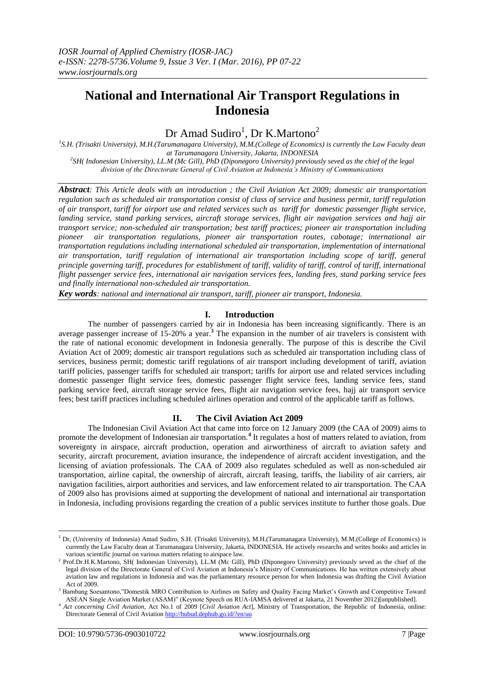# **National and International Air Transport Regulations in Indonesia**

# Dr Amad Sudiro<sup>1</sup>, Dr K.Martono<sup>2</sup>

<sup>1</sup>S.H. (Trisakti University), M.H.(Tarumanagara University), M.M.(College of Economics) is currently the Law Faculty dean *at Tarumanagara University, Jakarta, INDONESIA 2 SH( Indonesian University), LL.M (Mc Gill), PhD (Diponegoro University) previously seved as the chief of the legal division of the Directorate General of Civil Aviation at Indonesia's Ministry of Communications*

*Abstract: This Article deals with an introduction ; the Civil Aviation Act 2009; domestic air transportation regulation such as scheduled air transportation consist of class of service and business permit, tariff regulation of air transport, tariff for airport use and related services such as tariff for domestic passenger flight service, landing service, stand parking services, aircraft storage services, flight air navigation services and hajj air transport service; non-scheduled air transportation; best tariff practices; pioneer air transportation including pioneer air transportation regulations, pioneer air transportation routes, cabotage; international air transportation regulations including international scheduled air transportation, implementation of international air transportation, tariff regulation of international air transportation including scope of tariff, general principle governing tariff, procedures for establishment of tariff, validity of tariff, control of tariff, international flight passenger service fees, international air navigation services fees, landing fees, stand parking service fees and finally international non-scheduled air transportation.*

*Key words: national and international air transport, tariff, pioneer air transport, Indonesia.*

# **I. Introduction**

The number of passengers carried by air in Indonesia has been increasing significantly. There is an average passenger increase of 15-20% a year.**<sup>3</sup>** The expansion in the number of air travelers is consistent with the rate of national economic development in Indonesia generally. The purpose of this is describe the Civil Aviation Act of 2009; domestic air transport regulations such as scheduled air transportation including class of services, business permit; domestic tariff regulations of air transport including development of tariff, aviation tariff policies, passenger tariffs for scheduled air transport; tariffs for airport use and related services including domestic passenger flight service fees, domestic passenger flight service fees, landing service fees, stand parking service feed, aircraft storage service fees, flight air navigation service fees, hajj air transport service fees; best tariff practices including scheduled airlines operation and control of the applicable tariff as follows.

## **II. The Civil Aviation Act 2009**

The Indonesian Civil Aviation Act that came into force on 12 January 2009 (the CAA of 2009) aims to promote the development of Indonesian air transportation.**<sup>4</sup>** It regulates a host of matters related to aviation, from sovereignty in airspace, aircraft production, operation and airworthiness of aircraft to aviation safety and security, aircraft procurement, aviation insurance, the independence of aircraft accident investigation, and the licensing of aviation professionals. The CAA of 2009 also regulates scheduled as well as non-scheduled air transportation, airline capital, the ownership of aircraft, aircraft leasing, tariffs, the liability of air carriers, air navigation facilities, airport authorities and services, and law enforcement related to air transportation. The CAA of 2009 also has provisions aimed at supporting the development of national and international air transportation in Indonesia, including provisions regarding the creation of a public services institute to further those goals. Due

<sup>1</sup> Dr, (University of Indonesia) Amad Sudiro, S.H. (Trisakti University), M.H.(Tarumanagara University), M.M.(College of Economics) is currently the Law Faculty dean at Tarumanagara University, Jakarta, INDONESIA. He actively researchs and writes books and articles in various scientific journal on various matters relating to airspace law.

<sup>&</sup>lt;sup>2</sup> Prof.Dr.H.K.Martono, SH( Indonesian University), LL.M (Mc Gill), PhD (Diponegoro University) previously seved as the chief of the legal division of the Directorate General of Civil Aviation at Indonesia's Ministry of Communications. He has written extensively about aviation law and regulations in Indonesia and was the parliamentary resource person for when Indonesia was drafting the Civil Aviation Act of 2009.

<sup>&</sup>lt;sup>3</sup> Bambang Soesantono,"Domestik MRO Contribution to Airlines on Safety and Quality Facing Market's Growth and Competitive Toward ASEAN Single Aviation Market (ASAM)" (Keynote Speech on RUA-IAMSA delivered at Jakarta, 21 November 2012)[unpublished].

<sup>4</sup> *Act concerning Civil Aviation*, Act No.1 of 2009 [*Civil Aviation Act*], Ministry of Transportation, the Republic of Indonesia, online: Directorate General of Civil Aviation<http://hubud.dephub.go.id/?en/uu>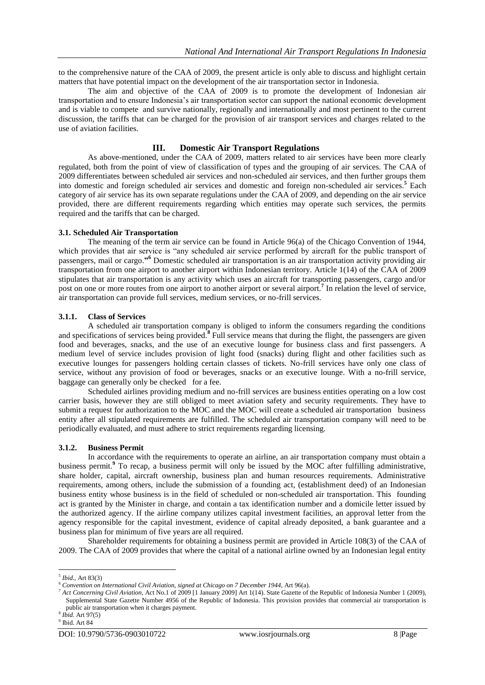to the comprehensive nature of the CAA of 2009, the present article is only able to discuss and highlight certain matters that have potential impact on the development of the air transportation sector in Indonesia.

The aim and objective of the CAA of 2009 is to promote the development of Indonesian air transportation and to ensure Indonesia"s air transportation sector can support the national economic development and is viable to compete and survive nationally, regionally and internationally and most pertinent to the current discussion, the tariffs that can be charged for the provision of air transport services and charges related to the use of aviation facilities.

# **III. Domestic Air Transport Regulations**

As above-mentioned, under the CAA of 2009, matters related to air services have been more clearly regulated, both from the point of view of classification of types and the grouping of air services. The CAA of 2009 differentiates between scheduled air services and non-scheduled air services, and then further groups them into domestic and foreign scheduled air services and domestic and foreign non-scheduled air services.**<sup>5</sup>** Each category of air service has its own separate regulations under the CAA of 2009, and depending on the air service provided, there are different requirements regarding which entities may operate such services, the permits required and the tariffs that can be charged.

# **3.1. Scheduled Air Transportation**

The meaning of the term air service can be found in Article 96(a) of the Chicago Convention of 1944, which provides that air service is "any scheduled air service performed by aircraft for the public transport of passengers, mail or cargo.**" <sup>6</sup>** Domestic scheduled air transportation is an air transportation activity providing air transportation from one airport to another airport within Indonesian territory. Article 1(14) of the CAA of 2009 stipulates that air transportation is any activity which uses an aircraft for transporting passengers, cargo and/or post on one or more routes from one airport to another airport or several airport.<sup>7</sup> In relation the level of service, air transportation can provide full services, medium services, or no-frill services.

# **3.1.1. Class of Services**

A scheduled air transportation company is obliged to inform the consumers regarding the conditions and specifications of services being provided.**<sup>8</sup>** Full service means that during the flight, the passengers are given food and beverages, snacks, and the use of an executive lounge for business class and first passengers. A medium level of service includes provision of light food (snacks) during flight and other facilities such as executive lounges for passengers holding certain classes of tickets. No-frill services have only one class of service, without any provision of food or beverages, snacks or an executive lounge. With a no-frill service, baggage can generally only be checked for a fee.

Scheduled airlines providing medium and no-frill services are business entities operating on a low cost carrier basis, however they are still obliged to meet aviation safety and security requirements. They have to submit a request for authorization to the MOC and the MOC will create a scheduled air transportation business entity after all stipulated requirements are fulfilled. The scheduled air transportation company will need to be periodically evaluated, and must adhere to strict requirements regarding licensing.

# **3.1.2. Business Permit**

In accordance with the requirements to operate an airline, an air transportation company must obtain a business permit.**<sup>9</sup>** To recap, a business permit will only be issued by the MOC after fulfilling administrative, share holder, capital, aircraft ownership, business plan and human resources requirements. Administrative requirements, among others, include the submission of a founding act, (establishment deed) of an Indonesian business entity whose business is in the field of scheduled or non-scheduled air transportation. This founding act is granted by the Minister in charge, and contain a tax identification number and a domicile letter issued by the authorized agency. If the airline company utilizes capital investment facilities, an approval letter from the agency responsible for the capital investment, evidence of capital already deposited, a bank guarantee and a business plan for minimum of five years are all required.

Shareholder requirements for obtaining a business permit are provided in Article 108(3) of the CAA of 2009. The CAA of 2009 provides that where the capital of a national airline owned by an Indonesian legal entity

<sup>5</sup> *Ibid.,* Art 83(3)

<sup>6</sup> *Convention on International Civil Aviation, signed at Chicago on 7 December 1944,* Art 96(a).

<sup>&</sup>lt;sup>7</sup> Act Concerning Civil Aviation, Act No.1 of 2009 [1 January 2009] Art 1(14). State Gazette of the Republic of Indonesia Number 1 (2009), Supplemental State Gazette Number 4956 of the Republic of Indonesia. This provision provides that commercial air transportation is public air transportation when it charges payment.

<sup>8</sup> *Ibid.* Art 97(5)

<sup>9</sup> Ibid. Art 84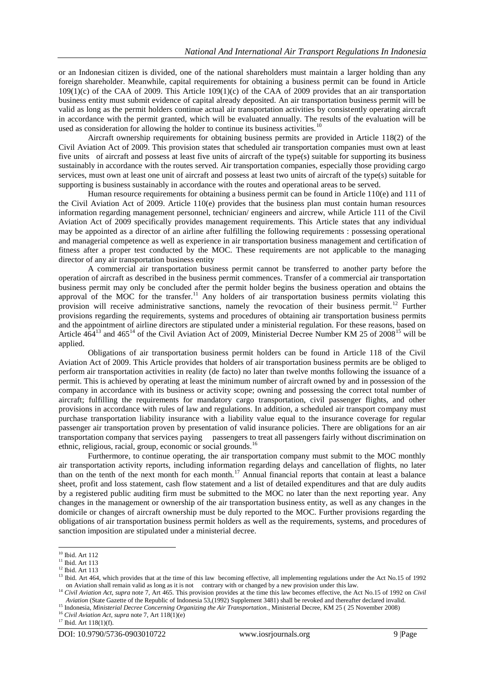or an Indonesian citizen is divided, one of the national shareholders must maintain a larger holding than any foreign shareholder. Meanwhile, capital requirements for obtaining a business permit can be found in Article 109(1)(c) of the CAA of 2009. This Article 109(1)(c) of the CAA of 2009 provides that an air transportation business entity must submit evidence of capital already deposited. An air transportation business permit will be valid as long as the permit holders continue actual air transportation activities by consistently operating aircraft in accordance with the permit granted, which will be evaluated annually. The results of the evaluation will be used as consideration for allowing the holder to continue its business activities.<sup>10</sup>

Aircraft ownership requirements for obtaining business permits are provided in Article 118(2) of the Civil Aviation Act of 2009. This provision states that scheduled air transportation companies must own at least five units of aircraft and possess at least five units of aircraft of the type(s) suitable for supporting its business sustainably in accordance with the routes served. Air transportation companies, especially those providing cargo services, must own at least one unit of aircraft and possess at least two units of aircraft of the type(s) suitable for supporting is business sustainably in accordance with the routes and operational areas to be served.

Human resource requirements for obtaining a business permit can be found in Article 110(e) and 111 of the Civil Aviation Act of 2009. Article 110(e) provides that the business plan must contain human resources information regarding management personnel, technician/ engineers and aircrew, while Article 111 of the Civil Aviation Act of 2009 specifically provides management requirements. This Article states that any individual may be appointed as a director of an airline after fulfilling the following requirements : possessing operational and managerial competence as well as experience in air transportation business management and certification of fitness after a proper test conducted by the MOC. These requirements are not applicable to the managing director of any air transportation business entity

A commercial air transportation business permit cannot be transferred to another party before the operation of aircraft as described in the business permit commences. Transfer of a commercial air transportation business permit may only be concluded after the permit holder begins the business operation and obtains the approval of the MOC for the transfer.<sup>11</sup> Any holders of air transportation business permits violating this provision will receive administrative sanctions, namely the revocation of their business permit.<sup>12</sup> Further provisions regarding the requirements, systems and procedures of obtaining air transportation business permits and the appointment of airline directors are stipulated under a ministerial regulation. For these reasons, based on Article 464<sup>13</sup> and 465<sup>14</sup> of the Civil Aviation Act of 2009, Ministerial Decree Number KM 25 of 2008<sup>15</sup> will be applied.

Obligations of air transportation business permit holders can be found in Article 118 of the Civil Aviation Act of 2009. This Article provides that holders of air transportation business permits are be obliged to perform air transportation activities in reality (de facto) no later than twelve months following the issuance of a permit. This is achieved by operating at least the minimum number of aircraft owned by and in possession of the company in accordance with its business or activity scope; owning and possessing the correct total number of aircraft; fulfilling the requirements for mandatory cargo transportation, civil passenger flights, and other provisions in accordance with rules of law and regulations. In addition, a scheduled air transport company must purchase transportation liability insurance with a liability value equal to the insurance coverage for regular passenger air transportation proven by presentation of valid insurance policies. There are obligations for an air transportation company that services paying passengers to treat all passengers fairly without discrimination on ethnic, religious, racial, group, economic or social grounds.<sup>16</sup>

Furthermore, to continue operating, the air transportation company must submit to the MOC monthly air transportation activity reports, including information regarding delays and cancellation of flights, no later than on the tenth of the next month for each month.<sup>17</sup> Annual financial reports that contain at least a balance sheet, profit and loss statement, cash flow statement and a list of detailed expenditures and that are duly audits by a registered public auditing firm must be submitted to the MOC no later than the next reporting year. Any changes in the management or ownership of the air transportation business entity, as well as any changes in the domicile or changes of aircraft ownership must be duly reported to the MOC. Further provisions regarding the obligations of air transportation business permit holders as well as the requirements, systems, and procedures of sanction imposition are stipulated under a ministerial decree.

1

<sup>15</sup> Indonesia, *Ministerial Decree Concerning Organizing the Air Transportation.,* Ministerial Decree, KM 25 ( 25 November 2008)

<sup>&</sup>lt;sup>10</sup> Ibid. Art 112

 $11$  Ibid. Art 113

<sup>&</sup>lt;sup>12</sup> Ibid. Art 113

<sup>&</sup>lt;sup>13</sup> Ibid. Art 464, which provides that at the time of this law becoming effective, all implementing regulations under the Act No.15 of 1992 on Aviation shall remain valid as long as it is not contrary with or changed by a new provision under this law.

<sup>&</sup>lt;sup>14</sup> *Civil Aviation Act*, *supra* note 7, Art 465. This provision provides at the time this law becomes effective, the Act No.15 of 1992 on *Civil Aviation Act*, *supra* note 7, Art 465. This provision provides at the t *Aviation* (State Gazette of the Republic of Indonesia 53,(1992) Supplement 3481) shall be revoked and thereafter declared invalid.

<sup>16</sup> *Civil Aviation Act, supra* note 7, Art 118(1)(e)

<sup>17</sup> Ibid. Art 118(1)(f).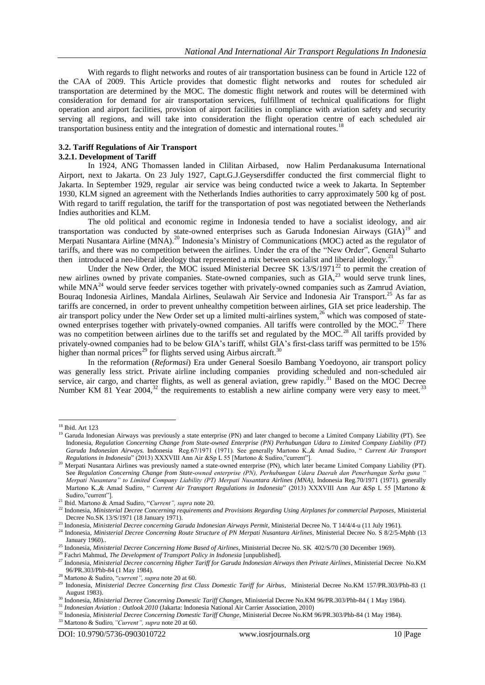With regards to flight networks and routes of air transportation business can be found in Article 122 of the CAA of 2009. This Article provides that domestic flight networks and routes for scheduled air transportation are determined by the MOC. The domestic flight network and routes will be determined with consideration for demand for air transportation services, fulfillment of technical qualifications for flight operation and airport facilities, provision of airport facilities in compliance with aviation safety and security serving all regions, and will take into consideration the flight operation centre of each scheduled air transportation business entity and the integration of domestic and international routes.<sup>1</sup>

# **3.2. Tariff Regulations of Air Transport**

## **3.2.1. Development of Tariff**

In 1924, ANG Thomassen landed in Clilitan Airbased, now Halim Perdanakusuma International Airport, next to Jakarta. On 23 July 1927, Capt.G.J.Geysersdiffer conducted the first commercial flight to Jakarta. In September 1929, regular air service was being conducted twice a week to Jakarta. In September 1930, KLM signed an agreement with the Netherlands Indies authorities to carry approximately 500 kg of post. With regard to tariff regulation, the tariff for the transportation of post was negotiated between the Netherlands Indies authorities and KLM.

The old political and economic regime in Indonesia tended to have a socialist ideology, and air transportation was conducted by state-owned enterprises such as Garuda Indonesian Airways (GIA)<sup>19</sup> and Merpati Nusantara Airline (MNA).<sup>20</sup> Indonesia's Ministry of Communications (MOC) acted as the regulator of tariffs, and there was no competition between the airlines. Under the era of the "New Order", General Suharto then introduced a neo-liberal ideology that represented a mix between socialist and liberal ideology.<sup>21</sup>

Under the New Order, the MOC issued Ministerial Decree SK  $13/S/1971<sup>22</sup>$  to permit the creation of new airlines owned by private companies. State-owned companies, such as GIA,<sup>23</sup> would serve trunk lines, while  $MNA<sup>24</sup>$  would serve feeder services together with privately-owned companies such as Zamrud Aviation, Bouraq Indonesia Airlines, Mandala Airlines, Seulawah Air Service and Indonesia Air Transport.<sup>25</sup> As far as tariffs are concerned, in order to prevent unhealthy competition between airlines, GIA set price leadership. The air transport policy under the New Order set up a limited multi-airlines system,<sup>26</sup> which was composed of stateowned enterprises together with privately-owned companies. All tariffs were controlled by the MOC.<sup>27</sup> There was no competition between airlines due to the tariffs set and regulated by the MOC.<sup>28</sup> All tariffs provided by privately-owned companies had to be below GIA's tariff, whilst GIA's first-class tariff was permitted to be 15% higher than normal prices<sup>29</sup> for flights served using Airbus aircraft.<sup>30</sup>

In the reformation (*Reformasi*) Era under General Soesilo Bambang Yoedoyono, air transport policy was generally less strict. Private airline including companies providing scheduled and non-scheduled air service, air cargo, and charter flights, as well as general aviation, grew rapidly.<sup>31</sup> Based on the MOC Decree Number KM 81 Year 2004,<sup>32</sup> the requirements to establish a new airline company were very easy to meet.<sup>33</sup>

**.** 

<sup>26</sup> Fachri Mahmud, *The Development of Transport Policy in Indonesia* [unpublished].

<sup>18</sup> Ibid. Art 123

<sup>&</sup>lt;sup>19</sup> Garuda Indonesian Airways was previously a state enterprise (PN) and later changed to become a Limited Company Liability (PT). See Indonesia, *Regulation Concerning Change from State-owned Enterprise (PN) Perhubungan Udara to Limited Company Liability (PT) Garuda Indonesian Airways.* Indonesia Reg.67/1971 (1971). See generally Martono K.,& Amad Sudiro, " *Current Air Transport Regulations in Indonesia*" (2013) XXXVIII Ann Air &Sp L 55 [Martono & Sudiro,"current"].

<sup>&</sup>lt;sup>20</sup> Merpati Nusantara Airlines was previously named a state-owned enterprise (PN), which later became Limited Company Liability (PT). See *Regulation Concerning Change from State-owned enterprise (PN), Perhubungan Udara Daerah dan Penerbangan Serba guna " Merpati Nusantara" to Limited Company Liability (PT) Merpati Nusantara Airlines (MNA),* Indonesia Reg.70/1971 (1971). generally Martono K.,& Amad Sudiro, " *Current Air Transport Regulations in Indonesia*" (2013) XXXVIII Ann Aur &Sp L 55 [Martono & Sudiro,"current"].

<sup>21</sup> Ibid. Martono & Amad Sudiro, "*Current", supra* note 20.

<sup>22</sup> Indonesia, *Ministerial Decree Concerning requirements and Provisions Regarding Using Airplanes for commercial Purposes,* Ministerial Decree No.SK 13/S/1971 (18 January 1971).

<sup>23</sup> Indonesia, *Ministerial Decree concerning Garuda Indonesian Airways Permit,* Ministerial Decree No. T 14/4/4-u (11 July 1961).

<sup>&</sup>lt;sup>24</sup> Indonesia, *Ministerial Decree Concerning Route Structure of PN Merpati Nusantara Airlines*, Ministerial Decree No. S 8/2/5-Mphb (13 January 1960)..

<sup>25</sup> Indonesia, *Ministerial Decree Concerning Home Based of Airlines*, Ministerial Decree No. SK 402/S/70 (30 December 1969).

<sup>27</sup> Indonesia, *Ministerial Decree concerning Higher Tariff for Garuda Indonesian Airways then Private Airlines*, Ministerial Decree No.KM 96/PR.303/Phb-84 (1 May 1984).

<sup>28</sup> Martono & Sudiro, "*current", supra* note 20 at 60.

<sup>&</sup>lt;sup>29</sup> Indonesia, *Ministerial Decree Concerning first Class Domestic Tariff for Airbus*, Ministerial Decree No.KM 157/PR.303/Phb-83 (1 August 1983).

<sup>30</sup> Indonesia, *Ministerial Decree Concerning Domestic Tariff Changes,* Ministerial Decree No.KM 96/PR.303/Phb-84 ( 1 May 1984).

<sup>31</sup> *Indonesian Aviation : Outlook 2010* (Jakarta: Indonesia National Air Carrier Association, 2010)

<sup>32</sup> Indonesia, *Ministerial Decree Concerning Domestic Tariff Change*, Ministerial Decree No.KM 96/PR.303/Phb-84 (1 May 1984).

<sup>33</sup> Martono & Sudiro*,"Current", supra* note 20 at 60.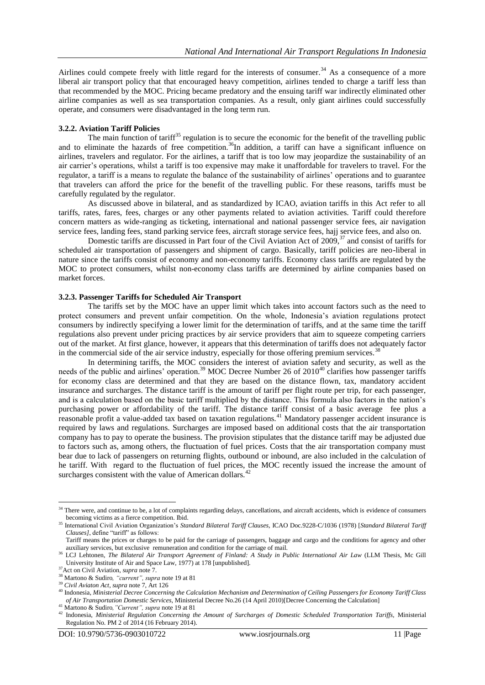Airlines could compete freely with little regard for the interests of consumer.<sup>34</sup> As a consequence of a more liberal air transport policy that that encouraged heavy competition, airlines tended to charge a tariff less than that recommended by the MOC. Pricing became predatory and the ensuing tariff war indirectly eliminated other airline companies as well as sea transportation companies. As a result, only giant airlines could successfully operate, and consumers were disadvantaged in the long term run.

#### **3.2.2. Aviation Tariff Policies**

The main function of tariff<sup>35</sup> regulation is to secure the economic for the benefit of the travelling public and to eliminate the hazards of free competition.<sup>36</sup>In addition, a tariff can have a significant influence on airlines, travelers and regulator. For the airlines, a tariff that is too low may jeopardize the sustainability of an air carrier"s operations, whilst a tariff is too expensive may make it unaffordable for travelers to travel. For the regulator, a tariff is a means to regulate the balance of the sustainability of airlines" operations and to guarantee that travelers can afford the price for the benefit of the travelling public. For these reasons, tariffs must be carefully regulated by the regulator.

As discussed above in bilateral, and as standardized by ICAO, aviation tariffs in this Act refer to all tariffs, rates, fares, fees, charges or any other payments related to aviation activities. Tariff could therefore concern matters as wide-ranging as ticketing, international and national passenger service fees, air navigation service fees, landing fees, stand parking service fees, aircraft storage service fees, hajj service fees, and also on.

Domestic tariffs are discussed in Part four of the Civil Aviation Act of 2009,<sup>37</sup> and consist of tariffs for scheduled air transportation of passengers and shipment of cargo. Basically, tariff policies are neo-liberal in nature since the tariffs consist of economy and non-economy tariffs. Economy class tariffs are regulated by the MOC to protect consumers, whilst non-economy class tariffs are determined by airline companies based on market forces.

#### **3.2.3. Passenger Tariffs for Scheduled Air Transport**

The tariffs set by the MOC have an upper limit which takes into account factors such as the need to protect consumers and prevent unfair competition. On the whole, Indonesia's aviation regulations protect consumers by indirectly specifying a lower limit for the determination of tariffs, and at the same time the tariff regulations also prevent under pricing practices by air service providers that aim to squeeze competing carriers out of the market. At first glance, however, it appears that this determination of tariffs does not adequately factor in the commercial side of the air service industry, especially for those offering premium services.<sup>3</sup>

In determining tariffs, the MOC considers the interest of aviation safety and security, as well as the needs of the public and airlines' operation.<sup>39</sup> MOC Decree Number 26 of 2010<sup>40</sup> clarifies how passenger tariffs for economy class are determined and that they are based on the distance flown, tax, mandatory accident insurance and surcharges. The distance tariff is the amount of tariff per flight route per trip, for each passenger, and is a calculation based on the basic tariff multiplied by the distance. This formula also factors in the nation"s purchasing power or affordability of the tariff. The distance tariff consist of a basic average fee plus a reasonable profit a value-added tax based on taxation regulations.<sup>41</sup> Mandatory passenger accident insurance is required by laws and regulations. Surcharges are imposed based on additional costs that the air transportation company has to pay to operate the business. The provision stipulates that the distance tariff may be adjusted due to factors such as, among others, the fluctuation of fuel prices. Costs that the air transportation company must bear due to lack of passengers on returning flights, outbound or inbound, are also included in the calculation of he tariff. With regard to the fluctuation of fuel prices, the MOC recently issued the increase the amount of surcharges consistent with the value of American dollars.<sup>42</sup>

<sup>&</sup>lt;sup>34</sup> There were, and continue to be, a lot of complaints regarding delays, cancellations, and aircraft accidents, which is evidence of consumers becoming victims as a fierce competition. Ibid.

<sup>35</sup> International Civil Aviation Organization"s *Standard Bilateral Tariff Clauses*, ICAO Doc.9228-C/1036 (1978) [*Standard Bilateral Tariff Clauses]*, define "tariff" as follows:

Tariff means the prices or charges to be paid for the carriage of passengers, baggage and cargo and the conditions for agency and other auxiliary services, but exclusive remuneration and condition for the carriage of mail.

<sup>36</sup> LCJ Lehtonen, *The Bilateral Air Transport Agreement of Finland: A Study in Public International Air Law* (LLM Thesis, Mc Gill University Institute of Air and Space Law, 1977) at 178 [unpublished].

<sup>37</sup>Act on Civil Aviation, *supra* note 7.

<sup>38</sup> Martono & Sudiro*, "current", supra* note 19 at 81

<sup>39</sup> *Civil Aviaton Act, supra* note 7, Art 126

<sup>40</sup> Indonesia, *Ministerial Decree Concerning the Calculation Mechanism and Determination of Ceiling Passengers for Economy Tariff Class of Air Transportation Domestic Services,* Ministerial Decree No.26 (14 April 2010)[Decree Concerning the Calculation]

<sup>41</sup> Martono & Sudiro*,"Current", supra* note 19 at 81

<sup>42</sup> Indonesia, *Ministerial Regulation Concerning the Amount of Surcharges of Domestic Scheduled Transportation Tariffs,* Ministerial Regulation No. PM 2 of 2014 (16 February 2014).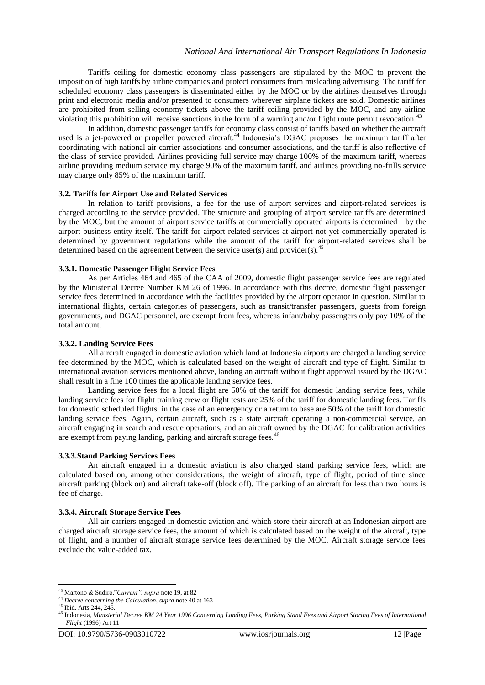Tariffs ceiling for domestic economy class passengers are stipulated by the MOC to prevent the imposition of high tariffs by airline companies and protect consumers from misleading advertising. The tariff for scheduled economy class passengers is disseminated either by the MOC or by the airlines themselves through print and electronic media and/or presented to consumers wherever airplane tickets are sold. Domestic airlines are prohibited from selling economy tickets above the tariff ceiling provided by the MOC, and any airline violating this prohibition will receive sanctions in the form of a warning and/or flight route permit revocation.<sup>4</sup>

In addition, domestic passenger tariffs for economy class consist of tariffs based on whether the aircraft used is a jet-powered or propeller powered aircraft.<sup>44</sup> Indonesia's DGAC proposes the maximum tariff after coordinating with national air carrier associations and consumer associations, and the tariff is also reflective of the class of service provided. Airlines providing full service may charge 100% of the maximum tariff, whereas airline providing medium service my charge 90% of the maximum tariff, and airlines providing no-frills service may charge only 85% of the maximum tariff.

## **3.2. Tariffs for Airport Use and Related Services**

In relation to tariff provisions, a fee for the use of airport services and airport-related services is charged according to the service provided. The structure and grouping of airport service tariffs are determined by the MOC, but the amount of airport service tariffs at commercially operated airports is determined by the airport business entity itself. The tariff for airport-related services at airport not yet commercially operated is determined by government regulations while the amount of the tariff for airport-related services shall be determined based on the agreement between the service user(s) and provider(s).<sup>45</sup>

#### **3.3.1. Domestic Passenger Flight Service Fees**

As per Articles 464 and 465 of the CAA of 2009, domestic flight passenger service fees are regulated by the Ministerial Decree Number KM 26 of 1996. In accordance with this decree, domestic flight passenger service fees determined in accordance with the facilities provided by the airport operator in question. Similar to international flights, certain categories of passengers, such as transit/transfer passengers, guests from foreign governments, and DGAC personnel, are exempt from fees, whereas infant/baby passengers only pay 10% of the total amount.

#### **3.3.2. Landing Service Fees**

All aircraft engaged in domestic aviation which land at Indonesia airports are charged a landing service fee determined by the MOC, which is calculated based on the weight of aircraft and type of flight. Similar to international aviation services mentioned above, landing an aircraft without flight approval issued by the DGAC shall result in a fine 100 times the applicable landing service fees.

Landing service fees for a local flight are 50% of the tariff for domestic landing service fees, while landing service fees for flight training crew or flight tests are 25% of the tariff for domestic landing fees. Tariffs for domestic scheduled flights in the case of an emergency or a return to base are 50% of the tariff for domestic landing service fees. Again, certain aircraft, such as a state aircraft operating a non-commercial service, an aircraft engaging in search and rescue operations, and an aircraft owned by the DGAC for calibration activities are exempt from paying landing, parking and aircraft storage fees.<sup>46</sup>

#### **3.3.3.Stand Parking Services Fees**

An aircraft engaged in a domestic aviation is also charged stand parking service fees, which are calculated based on, among other considerations, the weight of aircraft, type of flight, period of time since aircraft parking (block on) and aircraft take-off (block off). The parking of an aircraft for less than two hours is fee of charge.

#### **3.3.4. Aircraft Storage Service Fees**

All air carriers engaged in domestic aviation and which store their aircraft at an Indonesian airport are charged aircraft storage service fees, the amount of which is calculated based on the weight of the aircraft, type of flight, and a number of aircraft storage service fees determined by the MOC. Aircraft storage service fees exclude the value-added tax.

<sup>43</sup> Martono & Sudiro,"*Current", supra* note 19, at 82

<sup>44</sup> *Decree concerning the Calculation, supra* note 40 at 163

<sup>45</sup> Ibid. Arts 244, 245.

<sup>46</sup> Indonesia, *Ministerial Decree KM 24 Year 1996 Concerning Landing Fees, Parking Stand Fees and Airport Storing Fees of International Flight* (1996) Art 11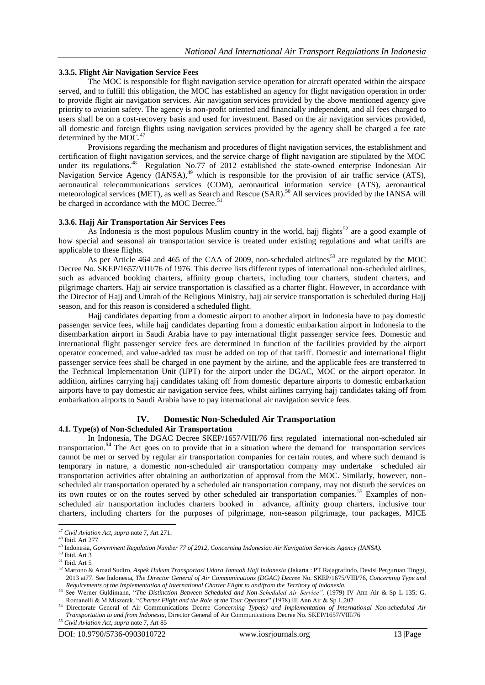# **3.3.5. Flight Air Navigation Service Fees**

The MOC is responsible for flight navigation service operation for aircraft operated within the airspace served, and to fulfill this obligation, the MOC has established an agency for flight navigation operation in order to provide flight air navigation services. Air navigation services provided by the above mentioned agency give priority to aviation safety. The agency is non-profit oriented and financially independent, and all fees charged to users shall be on a cost-recovery basis and used for investment. Based on the air navigation services provided, all domestic and foreign flights using navigation services provided by the agency shall be charged a fee rate determined by the  $MOC<sup>4</sup>$ 

Provisions regarding the mechanism and procedures of flight navigation services, the establishment and certification of flight navigation services, and the service charge of flight navigation are stipulated by the MOC under its regulations.<sup>48</sup> Regulation No.77 of 2012 established the state-owned enterprise Indonesian Air Navigation Service Agency  $(IANSA)$ <sup>49</sup> which is responsible for the provision of air traffic service (ATS), aeronautical telecommunications services (COM), aeronautical information service (ATS), aeronautical meteorological services (MET), as well as Search and Rescue (SAR).<sup>50</sup> All services provided by the IANSA will be charged in accordance with the MOC Decree.<sup>51</sup>

# **3.3.6. Hajj Air Transportation Air Services Fees**

As Indonesia is the most populous Muslim country in the world, hajj flights<sup>52</sup> are a good example of how special and seasonal air transportation service is treated under existing regulations and what tariffs are applicable to these flights.

As per Article 464 and 465 of the CAA of 2009, non-scheduled airlines<sup>53</sup> are regulated by the MOC Decree No. SKEP/1657/VIII/76 of 1976. This decree lists different types of international non-scheduled airlines, such as advanced booking charters, affinity group charters, including tour charters, student charters, and pilgrimage charters. Hajj air service transportation is classified as a charter flight. However, in accordance with the Director of Hajj and Umrah of the Religious Ministry, hajj air service transportation is scheduled during Hajj season, and for this reason is considered a scheduled flight.

Hajj candidates departing from a domestic airport to another airport in Indonesia have to pay domestic passenger service fees, while hajj candidates departing from a domestic embarkation airport in Indonesia to the disembarkation airport in Saudi Arabia have to pay international flight passenger service fees. Domestic and international flight passenger service fees are determined in function of the facilities provided by the airport operator concerned, and value-added tax must be added on top of that tariff. Domestic and international flight passenger service fees shall be charged in one payment by the airline, and the applicable fees are transferred to the Technical Implementation Unit (UPT) for the airport under the DGAC, MOC or the airport operator. In addition, airlines carrying hajj candidates taking off from domestic departure airports to domestic embarkation airports have to pay domestic air navigation service fees, whilst airlines carrying hajj candidates taking off from embarkation airports to Saudi Arabia have to pay international air navigation service fees.

# **IV. Domestic Non-Scheduled Air Transportation**

# **4.1. Type(s) of Non-Scheduled Air Transportation**

In Indonesia, The DGAC Decree SKEP/1657/VIII/76 first regulated international non-scheduled air transportation.**<sup>54</sup>** The Act goes on to provide that in a situation where the demand for transportation services cannot be met or served by regular air transportation companies for certain routes, and where such demand is temporary in nature, a domestic non-scheduled air transportation company may undertake scheduled air transportation activities after obtaining an authorization of approval from the MOC. Similarly, however, nonscheduled air transportation operated by a scheduled air transportation company, may not disturb the services on its own routes or on the routes served by other scheduled air transportation companies.<sup>55</sup> Examples of nonscheduled air transportation includes charters booked in advance, affinity group charters, inclusive tour charters, including charters for the purposes of pilgrimage, non-season pilgrimage, tour packages, MICE

**<sup>.</sup>** <sup>47</sup> *Civil Aviation Act, supra* note 7, Art 271.

<sup>48</sup> Ibid. Art 277

<sup>49</sup> Indonesia, *Government Regulation Number 77 of 2012, Concerning Indonesian Air Navigation Services Agency (IANSA).*

 $50$  Ibid. Art 3

 $51$  Ibid. Art 5

<sup>52</sup> Martono & Amad Sudiro, *Aspek Hukum Transportasi Udara Jamaah Haji Indonesia* (Jakarta : PT Rajagrafindo, Devisi Perguruan Tinggi, 2013 at77. See Indonesia, *The Director General of Air Communications (DGAC) Decree* No. SKEP/1675/VIII/76, *Concerning Type and Requirements of the Implementation of International Charter Flight to and/from the Territory of Indonesia.*

<sup>53</sup> See Werner Guldimann, "*The Distinction Between Scheduled and Non-Scheduled Air Service",* (1979) IV Ann Air & Sp L 135; G. Romanelli & M.Miszerak, "*Charter Flight and the Role of the Tour Operator*" (1978) III Ann Air & Sp L,207

<sup>&</sup>lt;sup>54</sup> Directorate General of Air Communications Decree *Concerning Type(s) and Implementation of International Non-scheduled Air Transportation to and from Indonesia*, Director General of Air Communications Decree No. SKEP/1657/VIII/76

<sup>55</sup> *Civil Aviation Act, supra* note 7, Art 85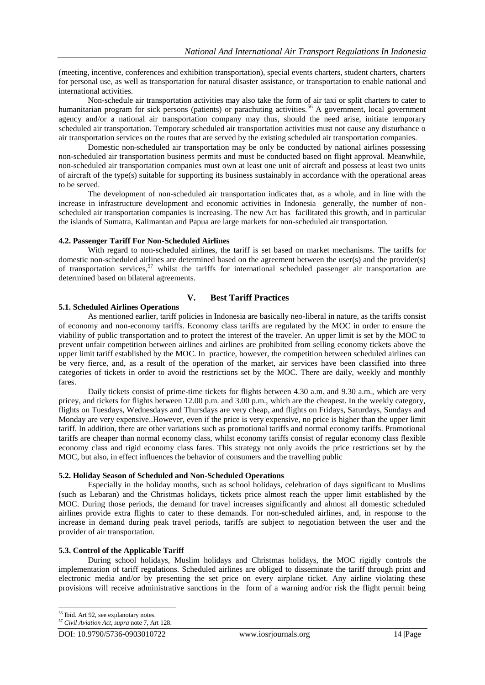(meeting, incentive, conferences and exhibition transportation), special events charters, student charters, charters for personal use, as well as transportation for natural disaster assistance, or transportation to enable national and international activities.

Non-schedule air transportation activities may also take the form of air taxi or split charters to cater to humanitarian program for sick persons (patients) or parachuting activities.<sup>56</sup> A government, local government agency and/or a national air transportation company may thus, should the need arise, initiate temporary scheduled air transportation. Temporary scheduled air transportation activities must not cause any disturbance o air transportation services on the routes that are served by the existing scheduled air transportation companies.

Domestic non-scheduled air transportation may be only be conducted by national airlines possessing non-scheduled air transportation business permits and must be conducted based on flight approval. Meanwhile, non-scheduled air transportation companies must own at least one unit of aircraft and possess at least two units of aircraft of the type(s) suitable for supporting its business sustainably in accordance with the operational areas to be served.

The development of non-scheduled air transportation indicates that, as a whole, and in line with the increase in infrastructure development and economic activities in Indonesia generally, the number of nonscheduled air transportation companies is increasing. The new Act has facilitated this growth, and in particular the islands of Sumatra, Kalimantan and Papua are large markets for non-scheduled air transportation.

## **4.2. Passenger Tariff For Non-Scheduled Airlines**

With regard to non-scheduled airlines, the tariff is set based on market mechanisms. The tariffs for domestic non-scheduled airlines are determined based on the agreement between the user(s) and the provider(s) of transportation services,<sup>57</sup> whilst the tariffs for international scheduled passenger air transportation are determined based on bilateral agreements.

# **V. Best Tariff Practices**

# **5.1. Scheduled Airlines Operations**

As mentioned earlier, tariff policies in Indonesia are basically neo-liberal in nature, as the tariffs consist of economy and non-economy tariffs. Economy class tariffs are regulated by the MOC in order to ensure the viability of public transportation and to protect the interest of the traveler. An upper limit is set by the MOC to prevent unfair competition between airlines and airlines are prohibited from selling economy tickets above the upper limit tariff established by the MOC. In practice, however, the competition between scheduled airlines can be very fierce, and, as a result of the operation of the market, air services have been classified into three categories of tickets in order to avoid the restrictions set by the MOC. There are daily, weekly and monthly fares.

Daily tickets consist of prime-time tickets for flights between 4.30 a.m. and 9.30 a.m., which are very pricey, and tickets for flights between 12.00 p.m. and 3.00 p.m., which are the cheapest. In the weekly category, flights on Tuesdays, Wednesdays and Thursdays are very cheap, and flights on Fridays, Saturdays, Sundays and Monday are very expensive..However, even if the price is very expensive, no price is higher than the upper limit tariff. In addition, there are other variations such as promotional tariffs and normal economy tariffs. Promotional tariffs are cheaper than normal economy class, whilst economy tariffs consist of regular economy class flexible economy class and rigid economy class fares. This strategy not only avoids the price restrictions set by the MOC, but also, in effect influences the behavior of consumers and the travelling public

## **5.2. Holiday Season of Scheduled and Non-Scheduled Operations**

Especially in the holiday months, such as school holidays, celebration of days significant to Muslims (such as Lebaran) and the Christmas holidays, tickets price almost reach the upper limit established by the MOC. During those periods, the demand for travel increases significantly and almost all domestic scheduled airlines provide extra flights to cater to these demands. For non-scheduled airlines, and, in response to the increase in demand during peak travel periods, tariffs are subject to negotiation between the user and the provider of air transportation.

## **5.3. Control of the Applicable Tariff**

During school holidays, Muslim holidays and Christmas holidays, the MOC rigidly controls the implementation of tariff regulations. Scheduled airlines are obliged to disseminate the tariff through print and electronic media and/or by presenting the set price on every airplane ticket. Any airline violating these provisions will receive administrative sanctions in the form of a warning and/or risk the flight permit being

 $\overline{a}$ 

<sup>56</sup> Ibid. Art 92, see explanotary notes.

<sup>57</sup> *Civil Aviation Act, supra* note 7, Art 128.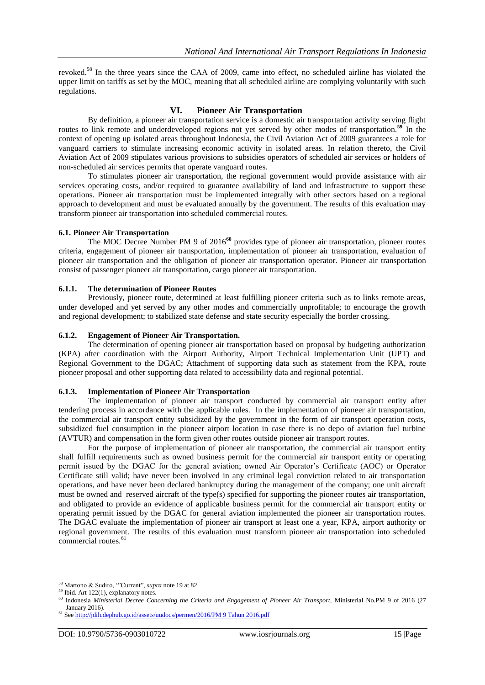revoked.<sup>58</sup> In the three years since the CAA of 2009, came into effect, no scheduled airline has violated the upper limit on tariffs as set by the MOC, meaning that all scheduled airline are complying voluntarily with such regulations.

# **VI. Pioneer Air Transportation**

By definition, a pioneer air transportation service is a domestic air transportation activity serving flight routes to link remote and underdeveloped regions not yet served by other modes of transportation.<sup>59</sup> In the context of opening up isolated areas throughout Indonesia, the Civil Aviation Act of 2009 guarantees a role for vanguard carriers to stimulate increasing economic activity in isolated areas. In relation thereto, the Civil Aviation Act of 2009 stipulates various provisions to subsidies operators of scheduled air services or holders of non-scheduled air services permits that operate vanguard routes.

To stimulates pioneer air transportation, the regional government would provide assistance with air services operating costs, and/or required to guarantee availability of land and infrastructure to support these operations. Pioneer air transportation must be implemented integrally with other sectors based on a regional approach to development and must be evaluated annually by the government. The results of this evaluation may transform pioneer air transportation into scheduled commercial routes.

## **6.1. Pioneer Air Transportation**

The MOC Decree Number PM 9 of 2016**<sup>60</sup>** provides type of pioneer air transportation, pioneer routes criteria, engagement of pioneer air transportation, implementation of pioneer air transportation, evaluation of pioneer air transportation and the obligation of pioneer air transportation operator. Pioneer air transportation consist of passenger pioneer air transportation, cargo pioneer air transportation.

## **6.1.1. The determination of Pioneer Routes**

Previously, pioneer route, determined at least fulfilling pioneer criteria such as to links remote areas, under developed and yet served by any other modes and commercially unprofitable; to encourage the growth and regional development; to stabilized state defense and state security especially the border crossing.

## **6.1.2. Engagement of Pioneer Air Transportation.**

The determination of opening pioneer air transportation based on proposal by budgeting authorization (KPA) after coordination with the Airport Authority, Airport Technical Implementation Unit (UPT) and Regional Government to the DGAC; Attachment of supporting data such as statement from the KPA, route pioneer proposal and other supporting data related to accessibility data and regional potential.

## **6.1.3. Implementation of Pioneer Air Transportation**

The implementation of pioneer air transport conducted by commercial air transport entity after tendering process in accordance with the applicable rules. In the implementation of pioneer air transportation, the commercial air transport entity subsidized by the government in the form of air transport operation costs, subsidized fuel consumption in the pioneer airport location in case there is no depo of aviation fuel turbine (AVTUR) and compensation in the form given other routes outside pioneer air transport routes.

For the purpose of implementation of pioneer air transportation, the commercial air transport entity shall fulfill requirements such as owned business permit for the commercial air transport entity or operating permit issued by the DGAC for the general aviation; owned Air Operator"s Certificate (AOC) or Operator Certificate still valid; have never been involved in any criminal legal conviction related to air transportation operations, and have never been declared bankruptcy during the management of the company; one unit aircraft must be owned and reserved aircraft of the type(s) specified for supporting the pioneer routes air transportation, and obligated to provide an evidence of applicable business permit for the commercial air transport entity or operating permit issued by the DGAC for general aviation implemented the pioneer air transportation routes. The DGAC evaluate the implementation of pioneer air transport at least one a year, KPA, airport authority or regional government. The results of this evaluation must transform pioneer air transportation into scheduled commercial routes.<sup>61</sup>

<sup>1</sup> <sup>58</sup> Martono & Sudiro, ""Current", *supra* note 19 at 82.

<sup>&</sup>lt;sup>59</sup> Ibid. Art 122(1), explanatory notes.

<sup>60</sup> Indonesia *Ministerial Decree Concerning the Criteria and Engagement of Pioneer Air Transport,* Ministerial No.PM 9 of 2016 (27 January 2016).

<sup>61</sup> Se[e http://jdih.dephub.go.id/assets/uudocs/permen/2016/PM 9 Tahun 2016.pdf](http://jdih.dephub.go.id/assets/uudocs/permen/2016/PM%209%20Tahun%202016.pdf)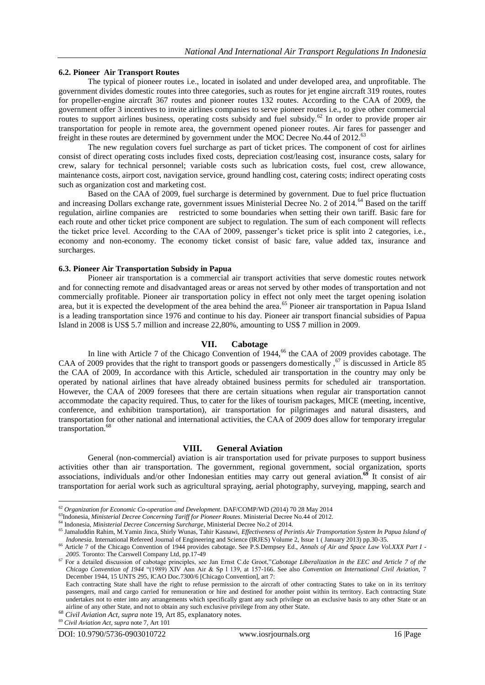#### **6.2. Pioneer Air Transport Routes**

The typical of pioneer routes i.e., located in isolated and under developed area, and unprofitable. The government divides domestic routes into three categories, such as routes for jet engine aircraft 319 routes, routes for propeller-engine aircraft 367 routes and pioneer routes 132 routes. According to the CAA of 2009, the government offer 3 incentives to invite airlines companies to serve pioneer routes i.e., to give other commercial routes to support airlines business, operating costs subsidy and fuel subsidy.<sup>62</sup> In order to provide proper air transportation for people in remote area, the government opened pioneer routes. Air fares for passenger and freight in these routes are determined by government under the MOC Decree No.44 of 2012.<sup>63</sup>

The new regulation covers fuel surcharge as part of ticket prices. The component of cost for airlines consist of direct operating costs includes fixed costs, depreciation cost/leasing cost, insurance costs, salary for crew, salary for technical personnel; variable costs such as lubrication costs, fuel cost, crew allowance, maintenance costs, airport cost, navigation service, ground handling cost, catering costs; indirect operating costs such as organization cost and marketing cost.

Based on the CAA of 2009, fuel surcharge is determined by government. Due to fuel price fluctuation and increasing Dollars exchange rate, government issues Ministerial Decree No. 2 of 2014.<sup>64</sup> Based on the tariff regulation, airline companies are restricted to some boundaries when setting their own tariff. Basic fare for each route and other ticket price component are subject to regulation. The sum of each component will reflects the ticket price level. According to the CAA of 2009, passenger"s ticket price is split into 2 categories, i.e., economy and non-economy. The economy ticket consist of basic fare, value added tax, insurance and surcharges.

#### **6.3. Pioneer Air Transportation Subsidy in Papua**

Pioneer air transportation is a commercial air transport activities that serve domestic routes network and for connecting remote and disadvantaged areas or areas not served by other modes of transportation and not commercially profitable. Pioneer air transportation policy in effect not only meet the target opening isolation area, but it is expected the development of the area behind the area.<sup>65</sup> Pioneer air transportation in Papua Island is a leading transportation since 1976 and continue to his day. Pioneer air transport financial subsidies of Papua Island in 2008 is US\$ 5.7 million and increase 22,80%, amounting to US\$ 7 million in 2009.

#### **VII. Cabotage**

In line with Article 7 of the Chicago Convention of  $1944<sup>66</sup>$  the CAA of 2009 provides cabotage. The CAA of 2009 provides that the right to transport goods or passengers domestically,  $67$  is discussed in Article 85 the CAA of 2009, In accordance with this Article, scheduled air transportation in the country may only be operated by national airlines that have already obtained business permits for scheduled air transportation. However, the CAA of 2009 foresees that there are certain situations when regular air transportation cannot accommodate the capacity required. Thus, to cater for the likes of tourism packages, MICE (meeting, incentive, conference, and exhibition transportation), air transportation for pilgrimages and natural disasters, and transportation for other national and international activities, the CAA of 2009 does allow for temporary irregular transportation.<sup>68</sup>

## **VIII. General Aviation**

General (non-commercial) aviation is air transportation used for private purposes to support business activities other than air transportation. The government, regional government, social organization, sports associations, individuals and/or other Indonesian entities may carry out general aviation.**<sup>69</sup>** It consist of air transportation for aerial work such as agricultural spraying, aerial photography, surveying, mapping, search and

<sup>62</sup> *Organization for Economic Co-operation and Development*. DAF/COMP/WD (2014) 70 28 May 2014

<sup>63</sup>Indonesia, *Ministerial Decree Concerning Tariff for Pioneer Routes*. Ministerial Decree No.44 of 2012.

<sup>64</sup> Indonesia, *Ministerial Decree Concerning Surcharge*, Ministerial Decree No.2 of 2014.

<sup>65</sup> Jamaluddin Rahim, M.Yamin Jinca, Shirly Wunas, Tahir Kasnawi, *Effectiveness of Perintis Air Transportation System In Papua Island of Indonesia.* International Refereed Journal of Engineering and Science (IRJES) Volume 2, Issue 1 ( January 2013) pp.30-35.

<sup>66</sup> Article 7 of the Chicago Convention of 1944 provides cabotage. See P.S.Dempsey Ed., *Annals of Air and Space Law Vol.XXX Part I - 2005.* Toronto: The Carswell Company Ltd, pp.17-49

<sup>67</sup> For a detailed discussion of cabotage principles, see Jan Ernst C.de Groot,"*Cabotage Liberalization in the EEC and Article 7 of the Chicago Convention of 1944* "(1989) XIV Ann Air & Sp l 139, at 157-166. See also *Convention on International Civil Aviation,* 7 December 1944, 15 UNTS 295, ICAO Doc.7300/6 [Chicago Convention], art 7:

Each contracting State shall have the right to refuse permission to the aircraft of other contracting States to take on in its territory passengers, mail and cargo carried for remuneration or hire and destined for another point within its territory. Each contracting State undertakes not to enter into any arrangements which specifically grant any such privilege on an exclusive basis to any other State or an airline of any other State, and not to obtain any such exclusive privilege from any other State.

<sup>68</sup> *Civil Aviation Act, supra* note 19, Art 85, explanatory notes.

<sup>69</sup> *Civil Aviation Act, supra* note 7, Art 101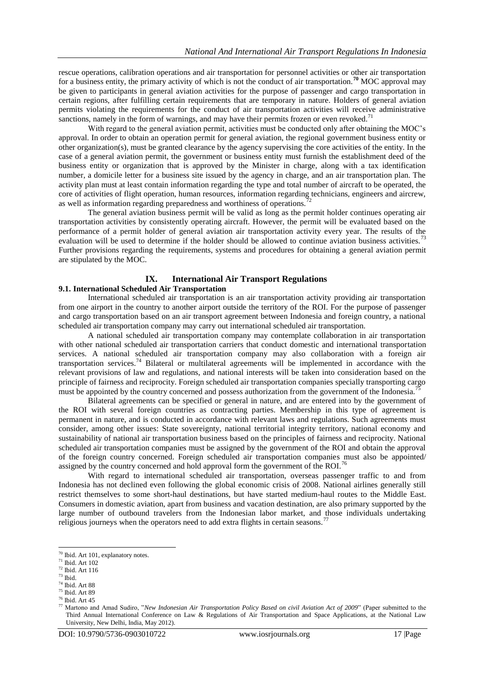rescue operations, calibration operations and air transportation for personnel activities or other air transportation for a business entity, the primary activity of which is not the conduct of air transportation.**<sup>70</sup>** MOC approval may be given to participants in general aviation activities for the purpose of passenger and cargo transportation in certain regions, after fulfilling certain requirements that are temporary in nature. Holders of general aviation permits violating the requirements for the conduct of air transportation activities will receive administrative sanctions, namely in the form of warnings, and may have their permits frozen or even revoked.<sup>71</sup>

With regard to the general aviation permit, activities must be conducted only after obtaining the MOC's approval. In order to obtain an operation permit for general aviation, the regional government business entity or other organization(s), must be granted clearance by the agency supervising the core activities of the entity. In the case of a general aviation permit, the government or business entity must furnish the establishment deed of the business entity or organization that is approved by the Minister in charge, along with a tax identification number, a domicile letter for a business site issued by the agency in charge, and an air transportation plan. The activity plan must at least contain information regarding the type and total number of aircraft to be operated, the core of activities of flight operation, human resources, information regarding technicians, engineers and aircrew, as well as information regarding preparedness and worthiness of operations.<sup>72</sup>

The general aviation business permit will be valid as long as the permit holder continues operating air transportation activities by consistently operating aircraft. However, the permit will be evaluated based on the performance of a permit holder of general aviation air transportation activity every year. The results of the evaluation will be used to determine if the holder should be allowed to continue aviation business activities.<sup>73</sup> Further provisions regarding the requirements, systems and procedures for obtaining a general aviation permit are stipulated by the MOC.

# **IX. International Air Transport Regulations**

# **9.1. International Scheduled Air Transportation**

International scheduled air transportation is an air transportation activity providing air transportation from one airport in the country to another airport outside the territory of the ROI. For the purpose of passenger and cargo transportation based on an air transport agreement between Indonesia and foreign country, a national scheduled air transportation company may carry out international scheduled air transportation.

A national scheduled air transportation company may contemplate collaboration in air transportation with other national scheduled air transportation carriers that conduct domestic and international transportation services. A national scheduled air transportation company may also collaboration with a foreign air transportation services.<sup>74</sup> Bilateral or multilateral agreements will be implemented in accordance with the relevant provisions of law and regulations, and national interests will be taken into consideration based on the principle of fairness and reciprocity. Foreign scheduled air transportation companies specially transporting cargo must be appointed by the country concerned and possess authorization from the government of the Indonesia.

Bilateral agreements can be specified or general in nature, and are entered into by the government of the ROI with several foreign countries as contracting parties. Membership in this type of agreement is permanent in nature, and is conducted in accordance with relevant laws and regulations. Such agreements must consider, among other issues: State sovereignty, national territorial integrity territory, national economy and sustainability of national air transportation business based on the principles of fairness and reciprocity. National scheduled air transportation companies must be assigned by the government of the ROI and obtain the approval of the foreign country concerned. Foreign scheduled air transportation companies must also be appointed/ assigned by the country concerned and hold approval form the government of the ROI.<sup>76</sup>

With regard to international scheduled air transportation, overseas passenger traffic to and from Indonesia has not declined even following the global economic crisis of 2008. National airlines generally still restrict themselves to some short-haul destinations, but have started medium-haul routes to the Middle East. Consumers in domestic aviation, apart from business and vacation destination, are also primary supported by the large number of outbound travelers from the Indonesian labor market, and those individuals undertaking religious journeys when the operators need to add extra flights in certain seasons.<sup>77</sup>

<sup>&</sup>lt;sup>70</sup> Ibid. Art 101, explanatory notes.

 $71$  Ibid. Art 102

 $72$  Ibid. Art 116

 $73$  Ibid.

<sup>74</sup> Ibid. Art 88

<sup>75</sup> Ibid. Art 89

<sup>76</sup> Ibid. Art 45

<sup>77</sup> Martono and Amad Sudiro, "*New Indonesian Air Transportation Policy Based on civil Aviation Act of 2009*" (Paper submitted to the Third Annual International Conference on Law & Regulations of Air Transportation and Space Applications, at the National Law University, New Delhi, India, May 2012).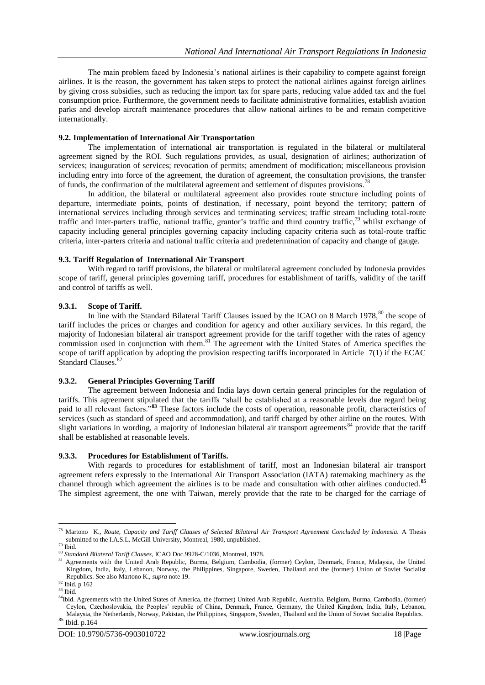The main problem faced by Indonesia"s national airlines is their capability to compete against foreign airlines. It is the reason, the government has taken steps to protect the national airlines against foreign airlines by giving cross subsidies, such as reducing the import tax for spare parts, reducing value added tax and the fuel consumption price. Furthermore, the government needs to facilitate administrative formalities, establish aviation parks and develop aircraft maintenance procedures that allow national airlines to be and remain competitive internationally.

## **9.2. Implementation of International Air Transportation**

The implementation of international air transportation is regulated in the bilateral or multilateral agreement signed by the ROI. Such regulations provides, as usual, designation of airlines; authorization of services; inauguration of services; revocation of permits; amendment of modification; miscellaneous provision including entry into force of the agreement, the duration of agreement, the consultation provisions, the transfer of funds, the confirmation of the multilateral agreement and settlement of disputes provisions.<sup>78</sup>

In addition, the bilateral or multilateral agreement also provides route structure including points of departure, intermediate points, points of destination, if necessary, point beyond the territory; pattern of international services including through services and terminating services; traffic stream including total-route traffic and inter-parters traffic, national traffic, grantor's traffic and third country traffic,<sup>79</sup> whilst exchange of capacity including general principles governing capacity including capacity criteria such as total-route traffic criteria, inter-parters criteria and national traffic criteria and predetermination of capacity and change of gauge.

#### **9.3. Tariff Regulation of International Air Transport**

With regard to tariff provisions, the bilateral or multilateral agreement concluded by Indonesia provides scope of tariff, general principles governing tariff, procedures for establishment of tariffs, validity of the tariff and control of tariffs as well.

## **9.3.1. Scope of Tariff.**

In line with the Standard Bilateral Tariff Clauses issued by the ICAO on 8 March 1978,<sup>80</sup> the scope of tariff includes the prices or charges and condition for agency and other auxiliary services. In this regard, the majority of Indonesian bilateral air transport agreement provide for the tariff together with the rates of agency commission used in conjunction with them.<sup>81</sup> The agreement with the United States of America specifies the scope of tariff application by adopting the provision respecting tariffs incorporated in Article 7(1) if the ECAC Standard Clauses.<sup>8</sup>

## **9.3.2. General Principles Governing Tariff**

The agreement between Indonesia and India lays down certain general principles for the regulation of tariffs. This agreement stipulated that the tariffs "shall be established at a reasonable levels due regard being paid to all relevant factors.<sup>38</sup> These factors include the costs of operation, reasonable profit, characteristics of services (such as standard of speed and accommodation), and tariff charged by other airline on the routes. With slight variations in wording, a majority of Indonesian bilateral air transport agreements<sup>84</sup> provide that the tariff shall be established at reasonable levels.

#### **9.3.3. Procedures for Establishment of Tariffs.**

With regards to procedures for establishment of tariff, most an Indonesian bilateral air transport agreement refers expressly to the International Air Transport Association (IATA) ratemaking machinery as the channel through which agreement the airlines is to be made and consultation with other airlines conducted.**<sup>85</sup>** The simplest agreement, the one with Taiwan, merely provide that the rate to be charged for the carriage of

<sup>78</sup> Martono K., *Route, Capacity and Tariff Clauses of Selected Bilateral Air Transport Agreement Concluded by Indonesia.* A Thesis submitted to the I.A.S.L. McGill University, Montreal, 1980, unpublished.

 $79$ Ibid.

<sup>80</sup> *Standard Bilateral Tariff Clauses*, ICAO Doc.9928-C/1036, Montreal, 1978.

<sup>81</sup> Agreements with the United Arab Republic, Burma, Belgium, Cambodia, (former) Ceylon, Denmark, France, Malaysia, the United Kingdom, India, Italy, Lebanon, Norway, the Philippines, Singapore, Sweden, Thailand and the (former) Union of Soviet Socialist Republics. See also Martono K., *supra* note 19.

<sup>82</sup> Ibid. p 162

 $^{\,83}$  Ibid.

<sup>&</sup>lt;sup>84</sup>Ibid. Agreements with the United States of America, the (former) United Arab Republic, Australia, Belgium, Burma, Cambodia, (former) Ceylon, Czechoslovakia, the Peoples" republic of China, Denmark, France, Germany, the United Kingdom, India, Italy, Lebanon, Malaysia, the Netherlands, Norway, Pakistan, the Philippines, Singapore, Sweden, Thailand and the Union of Soviet Socialist Republics.

<sup>85</sup> Ibid. p.164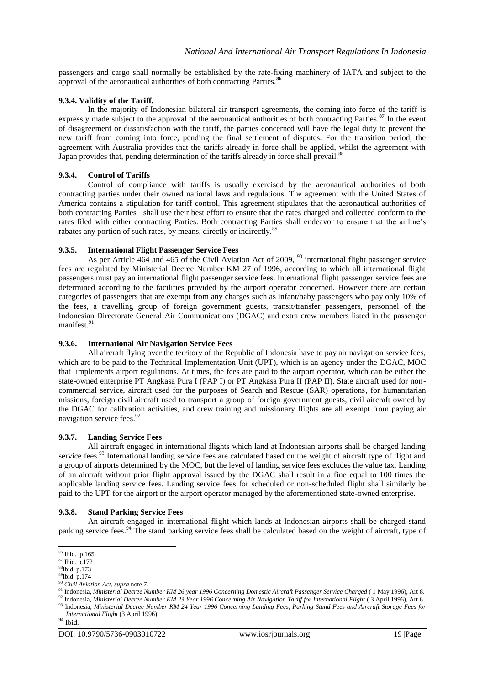passengers and cargo shall normally be established by the rate-fixing machinery of IATA and subject to the approval of the aeronautical authorities of both contracting Parties.**<sup>86</sup>**

# **9.3.4. Validity of the Tariff.**

In the majority of Indonesian bilateral air transport agreements, the coming into force of the tariff is expressly made subject to the approval of the aeronautical authorities of both contracting Parties.**<sup>87</sup>** In the event of disagreement or dissatisfaction with the tariff, the parties concerned will have the legal duty to prevent the new tariff from coming into force, pending the final settlement of disputes. For the transition period, the agreement with Australia provides that the tariffs already in force shall be applied, whilst the agreement with Japan provides that, pending determination of the tariffs already in force shall prevail.<sup>88</sup>

# **9.3.4. Control of Tariffs**

Control of compliance with tariffs is usually exercised by the aeronautical authorities of both contracting parties under their owned national laws and regulations. The agreement with the United States of America contains a stipulation for tariff control. This agreement stipulates that the aeronautical authorities of both contracting Parties shall use their best effort to ensure that the rates charged and collected conform to the rates filed with either contracting Parties. Both contracting Parties shall endeavor to ensure that the airline"s rabates any portion of such rates, by means, directly or indirectly.<sup>89</sup>

# **9.3.5. International Flight Passenger Service Fees**

As per Article 464 and 465 of the Civil Aviation Act of 2009, <sup>90</sup> international flight passenger service fees are regulated by Ministerial Decree Number KM 27 of 1996, according to which all international flight passengers must pay an international flight passenger service fees. International flight passenger service fees are determined according to the facilities provided by the airport operator concerned. However there are certain categories of passengers that are exempt from any charges such as infant/baby passengers who pay only 10% of the fees, a travelling group of foreign government guests, transit/transfer passengers, personnel of the Indonesian Directorate General Air Communications (DGAC) and extra crew members listed in the passenger manifest.<sup>91</sup>

## **9.3.6. International Air Navigation Service Fees**

All aircraft flying over the territory of the Republic of Indonesia have to pay air navigation service fees, which are to be paid to the Technical Implementation Unit (UPT), which is an agency under the DGAC, MOC that implements airport regulations. At times, the fees are paid to the airport operator, which can be either the state-owned enterprise PT Angkasa Pura I (PAP I) or PT Angkasa Pura II (PAP II). State aircraft used for noncommercial service, aircraft used for the purposes of Search and Rescue (SAR) operations, for humanitarian missions, foreign civil aircraft used to transport a group of foreign government guests, civil aircraft owned by the DGAC for calibration activities, and crew training and missionary flights are all exempt from paying air navigation service fees.<sup>92</sup>

## **9.3.7. Landing Service Fees**

All aircraft engaged in international flights which land at Indonesian airports shall be charged landing service fees.<sup>93</sup> International landing service fees are calculated based on the weight of aircraft type of flight and a group of airports determined by the MOC, but the level of landing service fees excludes the value tax. Landing of an aircraft without prior flight approval issued by the DGAC shall result in a fine equal to 100 times the applicable landing service fees. Landing service fees for scheduled or non-scheduled flight shall similarly be paid to the UPT for the airport or the airport operator managed by the aforementioned state-owned enterprise.

## **9.3.8. Stand Parking Service Fees**

An aircraft engaged in international flight which lands at Indonesian airports shall be charged stand parking service fees.<sup>94</sup> The stand parking service fees shall be calculated based on the weight of aircraft, type of

<sup>86</sup> Ibid. p.165.

<sup>87</sup> Ibid. p.172

<sup>88</sup>Ibid. p.173 <sup>89</sup>Ibid. p.174

<sup>90</sup> *Civil Aviation Act, supra* note 7.

<sup>91</sup> Indonesia, *Ministerial Decree Number KM 26 year 1996 Concerning Domestic Aircraft Passenger Service Charged* ( 1 May 1996), Art 8. <sup>92</sup> Indonesia, *Ministerial Decree Number KM 23 Year 1996 Concerning Air Navigation Tariff for International Flight* ( 3 April 1996), Art 6 <sup>93</sup> Indonesia, *Ministerial Decree Number KM 24 Year 1996 Concerning Landing Fees, Parking Stand Fees and Aircraft Storage Fees for* 

*International Flight* (3 April 1996).

<sup>94</sup> Ibid.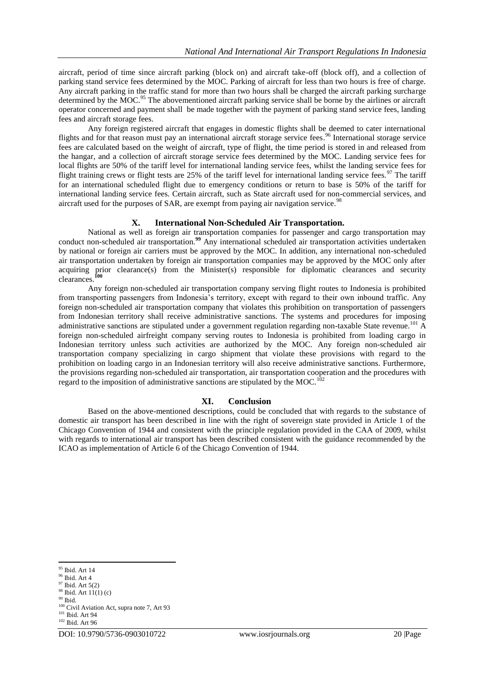aircraft, period of time since aircraft parking (block on) and aircraft take-off (block off), and a collection of parking stand service fees determined by the MOC. Parking of aircraft for less than two hours is free of charge. Any aircraft parking in the traffic stand for more than two hours shall be charged the aircraft parking surcharge determined by the MOC.<sup>95</sup> The abovementioned aircraft parking service shall be borne by the airlines or aircraft operator concerned and payment shall be made together with the payment of parking stand service fees, landing fees and aircraft storage fees.

Any foreign registered aircraft that engages in domestic flights shall be deemed to cater international flights and for that reason must pay an international aircraft storage service fees.<sup>96</sup> International storage service fees are calculated based on the weight of aircraft, type of flight, the time period is stored in and released from the hangar, and a collection of aircraft storage service fees determined by the MOC. Landing service fees for local flights are 50% of the tariff level for international landing service fees, whilst the landing service fees for flight training crews or flight tests are 25% of the tariff level for international landing service fees.<sup>97</sup> The tariff for an international scheduled flight due to emergency conditions or return to base is 50% of the tariff for international landing service fees. Certain aircraft, such as State aircraft used for non-commercial services, and aircraft used for the purposes of SAR, are exempt from paying air navigation service.<sup>98</sup>

# **X. International Non-Scheduled Air Transportation.**

National as well as foreign air transportation companies for passenger and cargo transportation may conduct non-scheduled air transportation.**<sup>99</sup>** Any international scheduled air transportation activities undertaken by national or foreign air carriers must be approved by the MOC. In addition, any international non-scheduled air transportation undertaken by foreign air transportation companies may be approved by the MOC only after acquiring prior clearance(s) from the Minister(s) responsible for diplomatic clearances and security clearances.**<sup>100</sup>**

Any foreign non-scheduled air transportation company serving flight routes to Indonesia is prohibited from transporting passengers from Indonesia's territory, except with regard to their own inbound traffic. Any foreign non-scheduled air transportation company that violates this prohibition on transportation of passengers from Indonesian territory shall receive administrative sanctions. The systems and procedures for imposing administrative sanctions are stipulated under a government regulation regarding non-taxable State revenue.<sup>101</sup> A foreign non-scheduled airfreight company serving routes to Indonesia is prohibited from loading cargo in Indonesian territory unless such activities are authorized by the MOC. Any foreign non-scheduled air transportation company specializing in cargo shipment that violate these provisions with regard to the prohibition on loading cargo in an Indonesian territory will also receive administrative sanctions. Furthermore, the provisions regarding non-scheduled air transportation, air transportation cooperation and the procedures with regard to the imposition of administrative sanctions are stipulated by the MOC.<sup>102</sup>

# **XI. Conclusion**

Based on the above-mentioned descriptions, could be concluded that with regards to the substance of domestic air transport has been described in line with the right of sovereign state provided in Article 1 of the Chicago Convention of 1944 and consistent with the principle regulation provided in the CAA of 2009, whilst with regards to international air transport has been described consistent with the guidance recommended by the ICAO as implementation of Article 6 of the Chicago Convention of 1944.

<sup>&</sup>lt;sup>95</sup> Ibid. Art 14

 $^{96}$  Ibid. Art  $4\,$ 

 $97$  Ibid. Art  $5(2)$ 

 $98$  Ibid. Art 11(1) (c)

<sup>99</sup> Ibid.

<sup>&</sup>lt;sup>100</sup> Civil Aviation Act, supra note 7, Art 93

<sup>&</sup>lt;sup>101</sup> Ibid. Art 94 <sup>102</sup> Ibid. Art 96

DOI: 10.9790/5736-0903010722 www.iosrjournals.org 20 |Page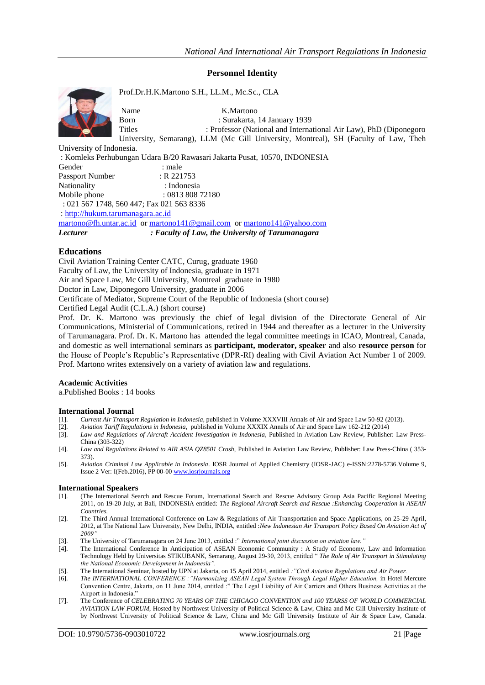# **Personnel Identity**



Prof.Dr.H.K.Martono S.H., LL.M., Mc.Sc., CLA

Name K.Martono

Born : Surakarta, 14 January 1939<br>Titles : Professor (National and Interna : Professor (National and International Air Law), PhD (Diponegoro University, Semarang), LLM (Mc Gill University, Montreal), SH (Faculty of Law, Theh

University of Indonesia.

: Komleks Perhubungan Udara B/20 Rawasari Jakarta Pusat, 10570, INDONESIA

| Gender          | : male                                    |
|-----------------|-------------------------------------------|
| Passport Number | $: R$ 221753                              |
| Nationality     | : Indonesia                               |
| Mobile phone    | : 081380872180                            |
|                 | : 021 567 1748, 560 447; Fax 021 563 8336 |

: [http://hukum.tarumanagara.ac.id](http://hukum.tarumanagara.ac.id/)

[martono@fh.untar.ac.id](mailto:martono@fh.untar.ac.id) or [martono141@gmail.com](mailto:martono141@gmail.com) or [martono141@yahoo.com](mailto:martono141@yahoo.com) *Lecturer : Faculty of Law, the University of Tarumanagara*

# **Educations**

Civil Aviation Training Center CATC, Curug, graduate 1960

Faculty of Law, the University of Indonesia, graduate in 1971

Air and Space Law, Mc Gill University, Montreal graduate in 1980

Doctor in Law, Diponegoro University, graduate in 2006

Certificate of Mediator, Supreme Court of the Republic of Indonesia (short course)

Certified Legal Audit (C.L.A.) (short course)

Prof. Dr. K. Martono was previously the chief of legal division of the Directorate General of Air Communications, Ministerial of Communications, retired in 1944 and thereafter as a lecturer in the University of Tarumanagara. Prof. Dr. K. Martono has attended the legal committee meetings in ICAO, Montreal, Canada, and domestic as well international seminars as **participant, moderator, speaker** and also **resource person** for the House of People"s Republic"s Representative (DPR-RI) dealing with Civil Aviation Act Number 1 of 2009. Prof. Martono writes extensively on a variety of aviation law and regulations.

## **Academic Activities**

a.Published Books : 14 books

#### **International Journal**

- [1]. *Current Air Transport Regulation in Indonesia*, published in Volume XXXVIII Annals of Air and Space Law 50-92 (2013).
- [2]. *Aviation Tariff Regulations in Indonesia*, published in Volume XXXIX Annals of Air and Space Law 162-212 (2014)
- [3]. *Law and Regulations of Aircraft Accident Investigation in Indonesia*, Published in Aviation Law Review, Publisher: Law Press-China (303-322)
- [4]. *Law and Regulations Related to AIR ASIA QZ8501 Crash,* Published in Aviation Law Review, Publisher: Law Press-China ( 353- 373).
- [5]. *Aviation Criminal Law Applicable in Indonesia*. IOSR Journal of Applied Chemistry (IOSR-JAC) e-ISSN:2278-5736.Volume 9, Issue 2 Ver: I(Feb.2016), PP 00-0[0 www.iosrjournals.org](http://www.iosrjournals.org/)

#### **International Speakers**

- [1]. (The International Search and Rescue Forum, International Search and Rescue Advisory Group Asia Pacific Regional Meeting 2011, on 19-20 July, at Bali, INDONESIA entitled: *The Regional Aircraft Search and Rescue :Enhancing Cooperation in ASEAN Countries.*
- [2]. The Third Annual International Conference on Law & Regulations of Air Transportation and Space Applications, on 25-29 April, 2012, at The National Law University, New Delhi, INDIA, entitled :*New Indonesian Air Transport Policy Based On Aviation Act of 2009"*
- [3]. The University of Tarumanagara on 24 June 2013, entitled :" *International joint discussion on aviation law."*
- [4]. The International Conference In Anticipation of ASEAN Economic Community : A Study of Economy, Law and Information Technology Held by Universitas STIKUBANK, Semarang, August 29-30, 2013, entitled " *The Role of Air Transport in Stimulating the National Economic Development in Indonesia".*
- [5]. The International Seminar, hosted by UPN at Jakarta, on 15 April 2014, entitled *:"Civil Aviation Regulations and Air Power.*
- [6]. *The INTERNATIONAL CONFERENCE :"Harmonizing ASEAN Legal System Through Legal Higher Education,* in Hotel Mercure Convention Centre, Jakarta, on 11 June 2014, entitled :" The Legal Liability of Air Carriers and Others Business Activities at the Airport in Indonesia."
- [7]. The Conference of *CELEBRATING 70 YEARS OF THE CHICAGO CONVENTION and 100 YEARSS OF WORLD COMMERCIAL AVIATION LAW FORUM,* Hosted by Northwest University of Political Science & Law, China and Mc Gill University Institute of by Northwest University of Political Science & Law, China and Mc Gill University Institute of Air & Space Law, Canada.